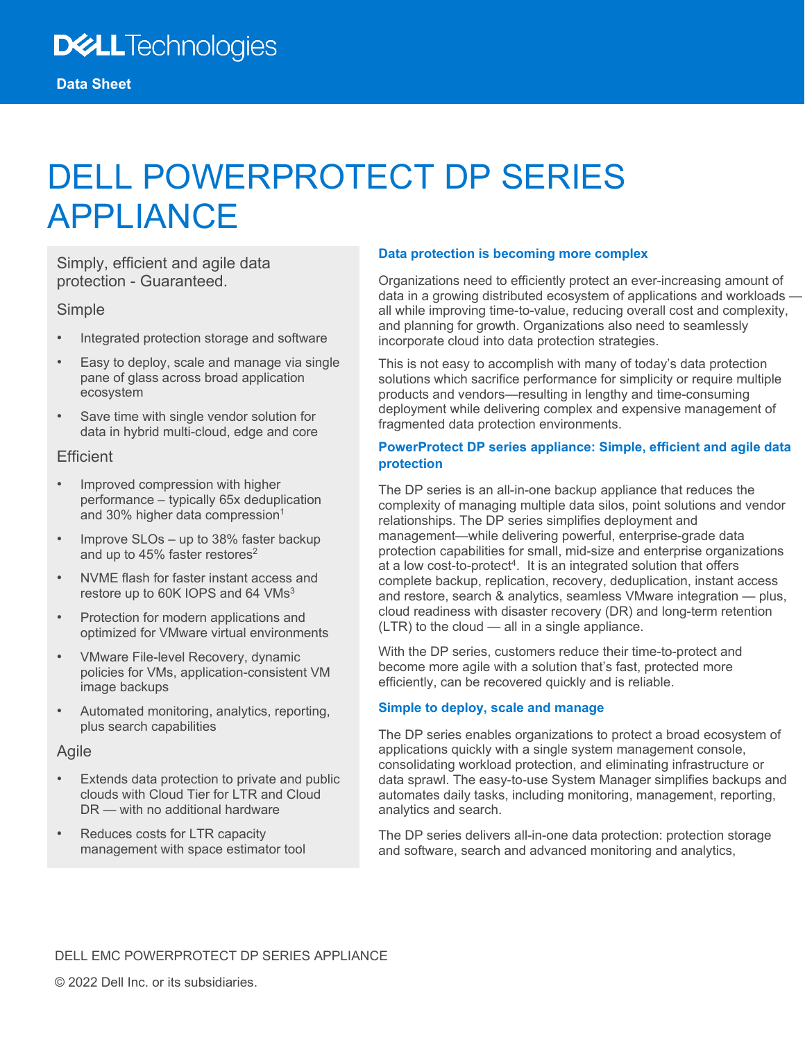# DELL POWERPROTECT DP SERIES APPLIANCE

Simply, efficient and agile data protection - Guaranteed.

#### Simple

- Integrated protection storage and software
- Easy to deploy, scale and manage via single pane of glass across broad application ecosystem
- Save time with single vendor solution for data in hybrid multi-cloud, edge and core

#### **Efficient**

- Improved compression with higher performance – typically 65x deduplication and 30% higher data compression<sup>1</sup>
- Improve SLOs up to 38% faster backup and up to 45% faster restores<sup>2</sup>
- NVME flash for faster instant access and restore up to 60K IOPS and 64 VMs<sup>3</sup>
- Protection for modern applications and optimized for VMware virtual environments
- VMware File-level Recovery, dynamic policies for VMs, application-consistent VM image backups
- Automated monitoring, analytics, reporting, plus search capabilities

#### Agile

- Extends data protection to private and public clouds with Cloud Tier for LTR and Cloud DR — with no additional hardware
- Reduces costs for LTR capacity management with space estimator tool

#### **Data protection is becoming more complex**

Organizations need to efficiently protect an ever-increasing amount of data in a growing distributed ecosystem of applications and workloads all while improving time-to-value, reducing overall cost and complexity, and planning for growth. Organizations also need to seamlessly incorporate cloud into data protection strategies.

This is not easy to accomplish with many of today's data protection solutions which sacrifice performance for simplicity or require multiple products and vendors—resulting in lengthy and time-consuming deployment while delivering complex and expensive management of fragmented data protection environments.

#### **PowerProtect DP series appliance: Simple, efficient and agile data protection**

The DP series is an all-in-one backup appliance that reduces the complexity of managing multiple data silos, point solutions and vendor relationships. The DP series simplifies deployment and management—while delivering powerful, enterprise-grade data protection capabilities for small, mid-size and enterprise organizations at a low cost-to-protect<sup>4</sup>. It is an integrated solution that offers complete backup, replication, recovery, deduplication, instant access and restore, search & analytics, seamless VMware integration — plus, cloud readiness with disaster recovery (DR) and long-term retention (LTR) to the cloud — all in a single appliance.

With the DP series, customers reduce their time-to-protect and become more agile with a solution that's fast, protected more efficiently, can be recovered quickly and is reliable.

#### **Simple to deploy, scale and manage**

The DP series enables organizations to protect a broad ecosystem of applications quickly with a single system management console, consolidating workload protection, and eliminating infrastructure or data sprawl. The easy-to-use System Manager simplifies backups and automates daily tasks, including monitoring, management, reporting, analytics and search.

The DP series delivers all-in-one data protection: protection storage and software, search and advanced monitoring and analytics,

#### DELL EMC POWERPROTECT DP SERIES APPLIANCE

© 2022 Dell Inc. or its subsidiaries.